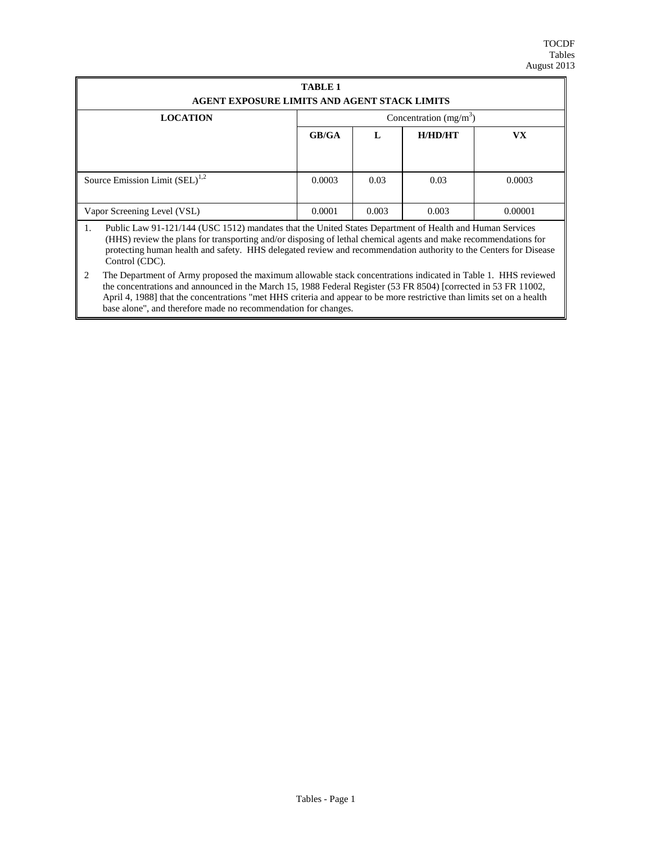| <b>TABLE 1</b>                                                                                                                                                                                                                                                                                                                                                          |                         |       |         |           |  |  |  |  |  |  |  |  |
|-------------------------------------------------------------------------------------------------------------------------------------------------------------------------------------------------------------------------------------------------------------------------------------------------------------------------------------------------------------------------|-------------------------|-------|---------|-----------|--|--|--|--|--|--|--|--|
| AGENT EXPOSURE LIMITS AND AGENT STACK LIMITS                                                                                                                                                                                                                                                                                                                            |                         |       |         |           |  |  |  |  |  |  |  |  |
| <b>LOCATION</b>                                                                                                                                                                                                                                                                                                                                                         | Concentration $(mg/m3)$ |       |         |           |  |  |  |  |  |  |  |  |
|                                                                                                                                                                                                                                                                                                                                                                         | GB/GA                   | L     | H/HD/HT | <b>VX</b> |  |  |  |  |  |  |  |  |
|                                                                                                                                                                                                                                                                                                                                                                         |                         |       |         |           |  |  |  |  |  |  |  |  |
|                                                                                                                                                                                                                                                                                                                                                                         |                         |       |         |           |  |  |  |  |  |  |  |  |
| Source Emission Limit $(SEL)^{1,2}$                                                                                                                                                                                                                                                                                                                                     | 0.0003                  | 0.03  | 0.03    | 0.0003    |  |  |  |  |  |  |  |  |
|                                                                                                                                                                                                                                                                                                                                                                         |                         |       |         |           |  |  |  |  |  |  |  |  |
| Vapor Screening Level (VSL)                                                                                                                                                                                                                                                                                                                                             | 0.0001                  | 0.003 | 0.003   | 0.00001   |  |  |  |  |  |  |  |  |
| Public Law 91-121/144 (USC 1512) mandates that the United States Department of Health and Human Services<br>1.<br>(HHS) review the plans for transporting and/or disposing of lethal chemical agents and make recommendations for<br>protecting human health and safety. HHS delegated review and recommendation authority to the Centers for Disease<br>Control (CDC). |                         |       |         |           |  |  |  |  |  |  |  |  |

<sup>2</sup> The Department of Army proposed the maximum allowable stack concentrations indicated in Table 1. HHS reviewed the concentrations and announced in the March 15, 1988 Federal Register (53 FR 8504) [corrected in 53 FR 11002, April 4, 1988] that the concentrations "met HHS criteria and appear to be more restrictive than limits set on a health base alone", and therefore made no recommendation for changes.